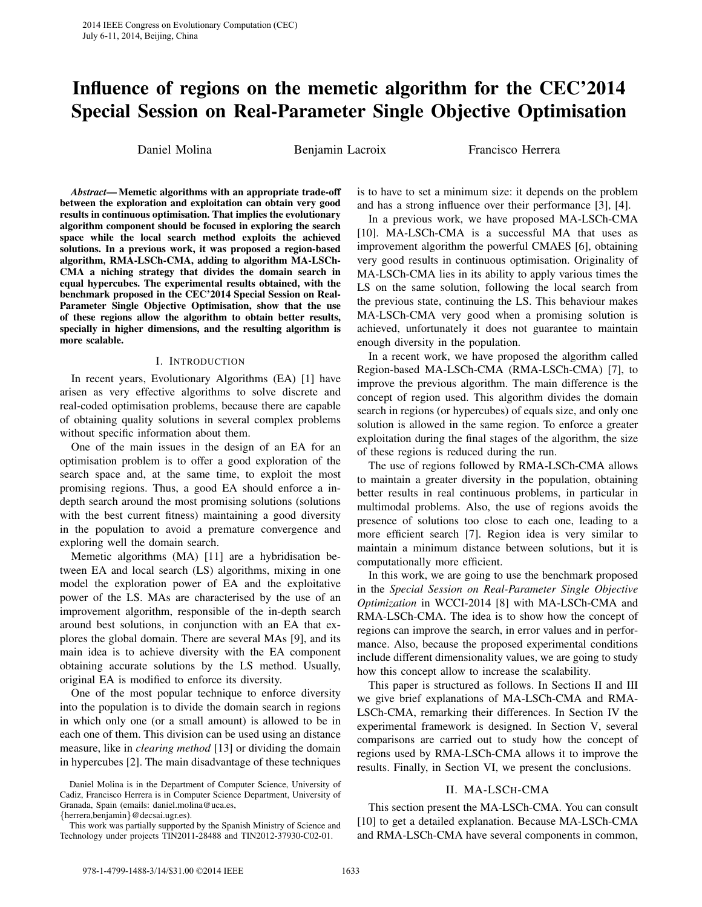# Influence of regions on the memetic algorithm for the CEC'2014 Special Session on Real-Parameter Single Objective Optimisation

Daniel Molina **Benjamin Lacroix** Francisco Herrera

*Abstract*— Memetic algorithms with an appropriate trade-off between the exploration and exploitation can obtain very good results in continuous optimisation. That implies the evolutionary algorithm component should be focused in exploring the search space while the local search method exploits the achieved solutions. In a previous work, it was proposed a region-based algorithm, RMA-LSCh-CMA, adding to algorithm MA-LSCh-CMA a niching strategy that divides the domain search in equal hypercubes. The experimental results obtained, with the benchmark proposed in the CEC'2014 Special Session on Real-Parameter Single Objective Optimisation, show that the use of these regions allow the algorithm to obtain better results, specially in higher dimensions, and the resulting algorithm is more scalable. 2014 IEEE Congress on Evolutionary Computation (CEC)<br>
2014 IEEE Congress on Evolution Computation (CEC)<br>
2014 6-11,2014, Beijing, China<br>
2014 6-11,2014, Beijing, China<br>
2014 10-12,2014 IS aling China<br>
2014 10-12 December a

#### I. INTRODUCTION

In recent years, Evolutionary Algorithms (EA) [1] have arisen as very effective algorithms to solve discrete and real-coded optimisation problems, because there are capable of obtaining quality solutions in several complex problems without specific information about them.

One of the main issues in the design of an EA for an optimisation problem is to offer a good exploration of the search space and, at the same time, to exploit the most promising regions. Thus, a good EA should enforce a indepth search around the most promising solutions (solutions with the best current fitness) maintaining a good diversity in the population to avoid a premature convergence and exploring well the domain search.

Memetic algorithms (MA) [11] are a hybridisation between EA and local search (LS) algorithms, mixing in one model the exploration power of EA and the exploitative power of the LS. MAs are characterised by the use of an improvement algorithm, responsible of the in-depth search around best solutions, in conjunction with an EA that explores the global domain. There are several MAs [9], and its main idea is to achieve diversity with the EA component obtaining accurate solutions by the LS method. Usually, original EA is modified to enforce its diversity.

One of the most popular technique to enforce diversity into the population is to divide the domain search in regions in which only one (or a small amount) is allowed to be in each one of them. This division can be used using an distance measure, like in *clearing method* [13] or dividing the domain in hypercubes [2]. The main disadvantage of these techniques

{herrera,benjamin}@decsai.ugr.es).

is to have to set a minimum size: it depends on the problem and has a strong influence over their performance [3], [4].

In a previous work, we have proposed MA-LSCh-CMA [10]. MA-LSCh-CMA is a successful MA that uses as improvement algorithm the powerful CMAES [6], obtaining very good results in continuous optimisation. Originality of MA-LSCh-CMA lies in its ability to apply various times the LS on the same solution, following the local search from the previous state, continuing the LS. This behaviour makes MA-LSCh-CMA very good when a promising solution is achieved, unfortunately it does not guarantee to maintain enough diversity in the population.

In a recent work, we have proposed the algorithm called Region-based MA-LSCh-CMA (RMA-LSCh-CMA) [7], to improve the previous algorithm. The main difference is the concept of region used. This algorithm divides the domain search in regions (or hypercubes) of equals size, and only one solution is allowed in the same region. To enforce a greater exploitation during the final stages of the algorithm, the size of these regions is reduced during the run.

The use of regions followed by RMA-LSCh-CMA allows to maintain a greater diversity in the population, obtaining better results in real continuous problems, in particular in multimodal problems. Also, the use of regions avoids the presence of solutions too close to each one, leading to a more efficient search [7]. Region idea is very similar to maintain a minimum distance between solutions, but it is computationally more efficient.

In this work, we are going to use the benchmark proposed in the *Special Session on Real-Parameter Single Objective Optimization* in WCCI-2014 [8] with MA-LSCh-CMA and RMA-LSCh-CMA. The idea is to show how the concept of regions can improve the search, in error values and in performance. Also, because the proposed experimental conditions include different dimensionality values, we are going to study how this concept allow to increase the scalability.

This paper is structured as follows. In Sections II and III we give brief explanations of MA-LSCh-CMA and RMA-LSCh-CMA, remarking their differences. In Section IV the experimental framework is designed. In Section V, several comparisons are carried out to study how the concept of regions used by RMA-LSCh-CMA allows it to improve the results. Finally, in Section VI, we present the conclusions.

## II. MA-LSCH-CMA

This section present the MA-LSCh-CMA. You can consult [10] to get a detailed explanation. Because MA-LSCh-CMA and RMA-LSCh-CMA have several components in common,

Daniel Molina is in the Department of Computer Science, University of Cadiz, Francisco Herrera is in Computer Science Department, University of Granada, Spain (emails: daniel.molina@uca.es,

This work was partially supported by the Spanish Ministry of Science and Technology under projects TIN2011-28488 and TIN2012-37930-C02-01.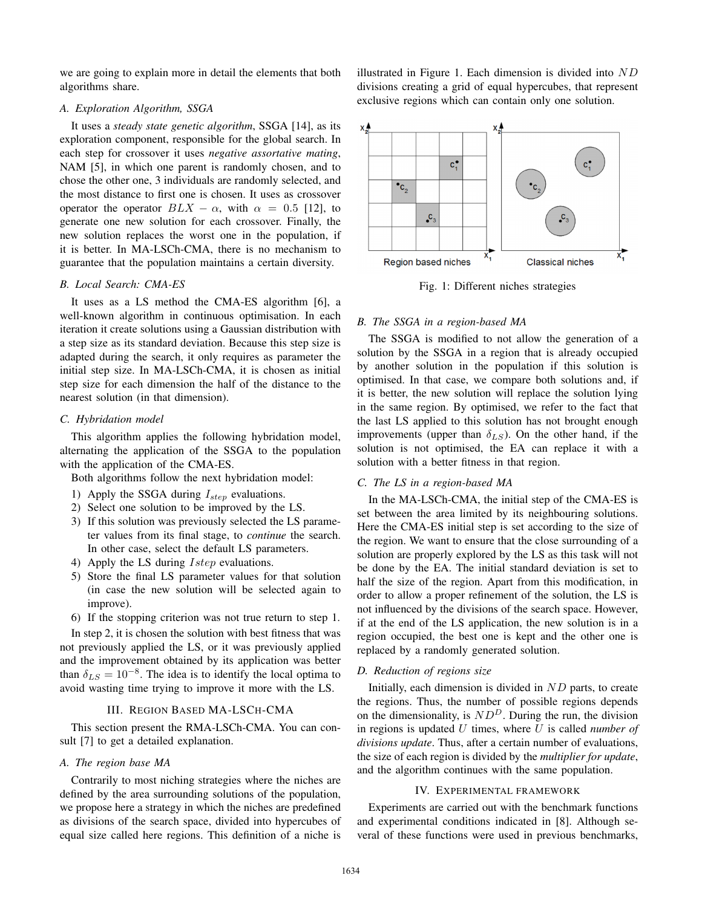we are going to explain more in detail the elements that both algorithms share.

## *A. Exploration Algorithm, SSGA*

It uses a *steady state genetic algorithm*, SSGA [14], as its exploration component, responsible for the global search. In each step for crossover it uses *negative assortative mating*, NAM [5], in which one parent is randomly chosen, and to chose the other one, 3 individuals are randomly selected, and the most distance to first one is chosen. It uses as crossover operator the operator  $BLX - \alpha$ , with  $\alpha = 0.5$  [12], to generate one new solution for each crossover. Finally, the new solution replaces the worst one in the population, if it is better. In MA-LSCh-CMA, there is no mechanism to guarantee that the population maintains a certain diversity.

## *B. Local Search: CMA-ES*

It uses as a LS method the CMA-ES algorithm [6], a well-known algorithm in continuous optimisation. In each iteration it create solutions using a Gaussian distribution with a step size as its standard deviation. Because this step size is adapted during the search, it only requires as parameter the initial step size. In MA-LSCh-CMA, it is chosen as initial step size for each dimension the half of the distance to the nearest solution (in that dimension).

#### *C. Hybridation model*

This algorithm applies the following hybridation model, alternating the application of the SSGA to the population with the application of the CMA-ES.

Both algorithms follow the next hybridation model:

- 1) Apply the SSGA during  $I_{step}$  evaluations.
- 2) Select one solution to be improved by the LS.
- 3) If this solution was previously selected the LS parameter values from its final stage, to *continue* the search. In other case, select the default LS parameters.
- 4) Apply the LS during Istep evaluations.
- 5) Store the final LS parameter values for that solution (in case the new solution will be selected again to improve).
- 6) If the stopping criterion was not true return to step 1.

In step 2, it is chosen the solution with best fitness that was not previously applied the LS, or it was previously applied and the improvement obtained by its application was better than  $\delta_{LS} = 10^{-8}$ . The idea is to identify the local optima to avoid wasting time trying to improve it more with the LS.

## III. REGION BASED MA-LSCH-CMA

This section present the RMA-LSCh-CMA. You can consult [7] to get a detailed explanation.

## *A. The region base MA*

Contrarily to most niching strategies where the niches are defined by the area surrounding solutions of the population, we propose here a strategy in which the niches are predefined as divisions of the search space, divided into hypercubes of equal size called here regions. This definition of a niche is illustrated in Figure 1. Each dimension is divided into ND divisions creating a grid of equal hypercubes, that represent exclusive regions which can contain only one solution.



Fig. 1: Different niches strategies

# *B. The SSGA in a region-based MA*

The SSGA is modified to not allow the generation of a solution by the SSGA in a region that is already occupied by another solution in the population if this solution is optimised. In that case, we compare both solutions and, if it is better, the new solution will replace the solution lying in the same region. By optimised, we refer to the fact that the last LS applied to this solution has not brought enough improvements (upper than  $\delta_{LS}$ ). On the other hand, if the solution is not optimised, the EA can replace it with a solution with a better fitness in that region.

## *C. The LS in a region-based MA*

In the MA-LSCh-CMA, the initial step of the CMA-ES is set between the area limited by its neighbouring solutions. Here the CMA-ES initial step is set according to the size of the region. We want to ensure that the close surrounding of a solution are properly explored by the LS as this task will not be done by the EA. The initial standard deviation is set to half the size of the region. Apart from this modification, in order to allow a proper refinement of the solution, the LS is not influenced by the divisions of the search space. However, if at the end of the LS application, the new solution is in a region occupied, the best one is kept and the other one is replaced by a randomly generated solution.

## *D. Reduction of regions size*

Initially, each dimension is divided in  $ND$  parts, to create the regions. Thus, the number of possible regions depends on the dimensionality, is  $ND<sup>D</sup>$ . During the run, the division in regions is updated U times, where U is called *number of divisions update*. Thus, after a certain number of evaluations, the size of each region is divided by the *multiplier for update*, and the algorithm continues with the same population.

#### IV. EXPERIMENTAL FRAMEWORK

Experiments are carried out with the benchmark functions and experimental conditions indicated in [8]. Although several of these functions were used in previous benchmarks,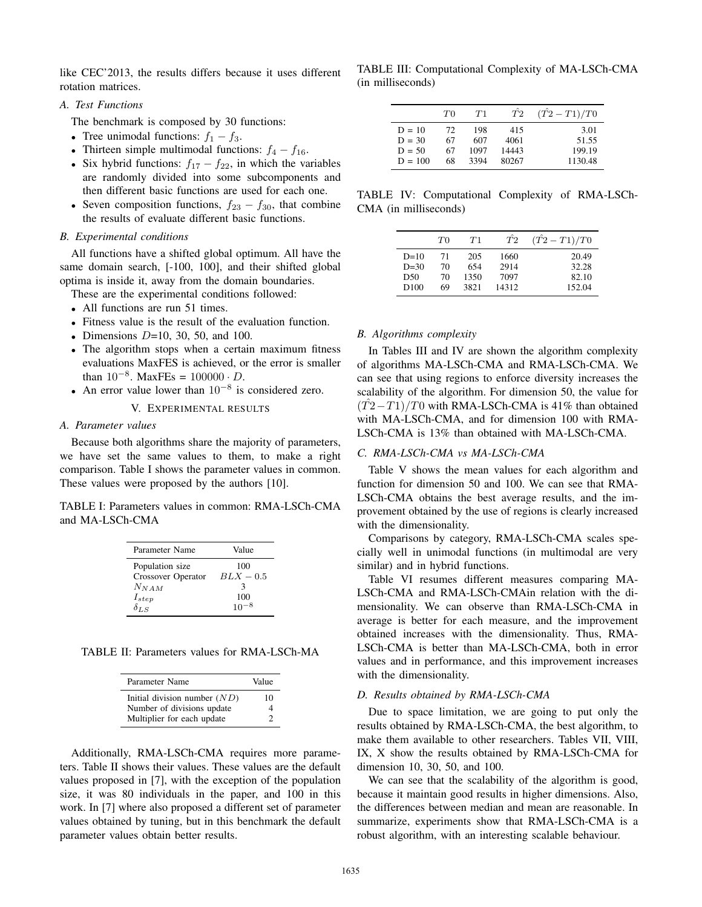like CEC'2013, the results differs because it uses different rotation matrices.

## *A. Test Functions*

The benchmark is composed by 30 functions:

- Tree unimodal functions:  $f_1 f_3$ .
- Thirteen simple multimodal functions:  $f_4 f_{16}$ .
- Six hybrid functions:  $f_{17} f_{22}$ , in which the variables are randomly divided into some subcomponents and then different basic functions are used for each one.
- Seven composition functions,  $f_{23} f_{30}$ , that combine the results of evaluate different basic functions.
- *B. Experimental conditions*

All functions have a shifted global optimum. All have the same domain search, [-100, 100], and their shifted global optima is inside it, away from the domain boundaries.

These are the experimental conditions followed:

- All functions are run 51 times.
- Fitness value is the result of the evaluation function.
- Dimensions  $D=10, 30, 50,$  and 100.
- The algorithm stops when a certain maximum fitness evaluations MaxFES is achieved, or the error is smaller than  $10^{-8}$ . MaxFEs =  $100000 \cdot D$ .
- An error value lower than  $10^{-8}$  is considered zero.

# V. EXPERIMENTAL RESULTS

#### *A. Parameter values*

Because both algorithms share the majority of parameters, we have set the same values to them, to make a right comparison. Table I shows the parameter values in common. These values were proposed by the authors [10].

TABLE I: Parameters values in common: RMA-LSCh-CMA and MA-LSCh-CMA

| Parameter Name     | Value       |
|--------------------|-------------|
| Population size    | 100         |
| Crossover Operator | $BLX - 0.5$ |
| $N_{NAM}$          |             |
| $I_{step}$         | 100         |
| $\delta_{LS}$      | $10^{-8}$   |

TABLE II: Parameters values for RMA-LSCh-MA

| Value |
|-------|
| 10    |
| 4     |
| C     |
|       |

Additionally, RMA-LSCh-CMA requires more parameters. Table II shows their values. These values are the default values proposed in [7], with the exception of the population size, it was 80 individuals in the paper, and 100 in this work. In [7] where also proposed a different set of parameter values obtained by tuning, but in this benchmark the default parameter values obtain better results.

TABLE III: Computational Complexity of MA-LSCh-CMA (in milliseconds)

|           | T0 | T1   | $\hat{T}2$ | $(\hat{T2} - T1)/T0$ |
|-----------|----|------|------------|----------------------|
| $D = 10$  | 72 | 198  | 415        | 3.01                 |
| $D = 30$  | 67 | 607  | 4061       | 51.55                |
| $D = 50$  | 67 | 1097 | 14443      | 199.19               |
| $D = 100$ | 68 | 3394 | 80267      | 1130.48              |

TABLE IV: Computational Complexity of RMA-LSCh-CMA (in milliseconds)

|                  | T0       | T1          | T2           | $(\hat{T2} - T1)/T0$ |
|------------------|----------|-------------|--------------|----------------------|
| $D=10$           | 71       | 205         | 1660         | 20.49                |
| $D=30$<br>D50    | 70<br>70 | 654<br>1350 | 2914<br>7097 | 32.28<br>82.10       |
| D <sub>100</sub> | 69       | 3821        | 14312        | 152.04               |

## *B. Algorithms complexity*

In Tables III and IV are shown the algorithm complexity of algorithms MA-LSCh-CMA and RMA-LSCh-CMA. We can see that using regions to enforce diversity increases the scalability of the algorithm. For dimension 50, the value for  $(T2-T1)/T0$  with RMA-LSCh-CMA is 41% than obtained with MA-LSCh-CMA, and for dimension 100 with RMA-LSCh-CMA is 13% than obtained with MA-LSCh-CMA.

# *C. RMA-LSCh-CMA vs MA-LSCh-CMA*

Table V shows the mean values for each algorithm and function for dimension 50 and 100. We can see that RMA-LSCh-CMA obtains the best average results, and the improvement obtained by the use of regions is clearly increased with the dimensionality.

Comparisons by category, RMA-LSCh-CMA scales specially well in unimodal functions (in multimodal are very similar) and in hybrid functions.

Table VI resumes different measures comparing MA-LSCh-CMA and RMA-LSCh-CMAin relation with the dimensionality. We can observe than RMA-LSCh-CMA in average is better for each measure, and the improvement obtained increases with the dimensionality. Thus, RMA-LSCh-CMA is better than MA-LSCh-CMA, both in error values and in performance, and this improvement increases with the dimensionality.

## *D. Results obtained by RMA-LSCh-CMA*

Due to space limitation, we are going to put only the results obtained by RMA-LSCh-CMA, the best algorithm, to make them available to other researchers. Tables VII, VIII, IX, X show the results obtained by RMA-LSCh-CMA for dimension 10, 30, 50, and 100.

We can see that the scalability of the algorithm is good, because it maintain good results in higher dimensions. Also, the differences between median and mean are reasonable. In summarize, experiments show that RMA-LSCh-CMA is a robust algorithm, with an interesting scalable behaviour.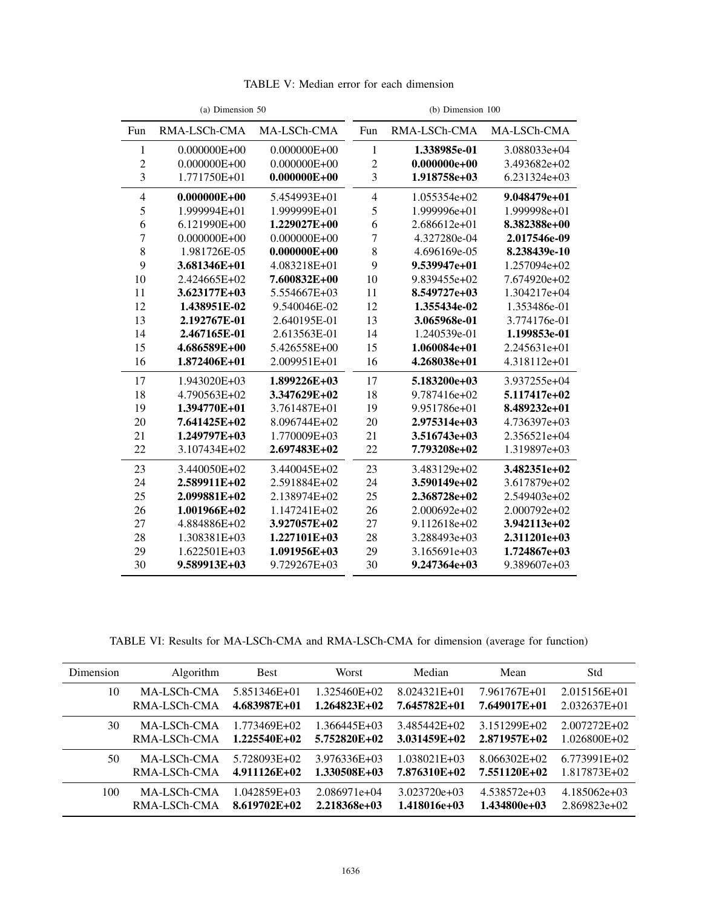|                | (a) Dimension 50 |                  | (b) Dimension 100 |                  |              |
|----------------|------------------|------------------|-------------------|------------------|--------------|
| Fun            | RMA-LSCh-CMA     | MA-LSCh-CMA      | Fun               | RMA-LSCh-CMA     | MA-LSCh-CMA  |
| 1              | $0.000000E + 00$ | $0.000000E + 00$ | 1                 | 1.338985e-01     | 3.088033e+04 |
| $\overline{c}$ | $0.000000E + 00$ | $0.000000E + 00$ | $\overline{2}$    | $0.000000e + 00$ | 3.493682e+02 |
| $\overline{3}$ | 1.771750E+01     | $0.000000E + 00$ | $\overline{3}$    | 1.918758e+03     | 6.231324e+03 |
| $\overline{4}$ | $0.000000E + 00$ | 5.454993E+01     | $\overline{4}$    | 1.055354e+02     | 9.048479e+01 |
| 5              | 1.999994E+01     | 1.999999E+01     | 5                 | 1.999996e+01     | 1.999998e+01 |
| 6              | 6.121990E+00     | 1.229027E+00     | 6                 | 2.686612e+01     | 8.382388e+00 |
| $\overline{7}$ | $0.000000E + 00$ | $0.000000E + 00$ | $\overline{7}$    | 4.327280e-04     | 2.017546e-09 |
| 8              | 1.981726E-05     | $0.000000E + 00$ | 8                 | 4.696169e-05     | 8.238439e-10 |
| 9              | 3.681346E+01     | 4.083218E+01     | 9                 | 9.539947e+01     | 1.257094e+02 |
| 10             | 2.424665E+02     | 7.600832E+00     | 10                | 9.839455e+02     | 7.674920e+02 |
| 11             | 3.623177E+03     | 5.554667E+03     | 11                | 8.549727e+03     | 1.304217e+04 |
| 12             | 1.438951E-02     | 9.540046E-02     | 12                | 1.355434e-02     | 1.353486e-01 |
| 13             | 2.192767E-01     | 2.640195E-01     | 13                | 3.065968e-01     | 3.774176e-01 |
| 14             | 2.467165E-01     | 2.613563E-01     | 14                | 1.240539e-01     | 1.199853e-01 |
| 15             | 4.686589E+00     | 5.426558E+00     | 15                | 1.060084e+01     | 2.245631e+01 |
| 16             | 1.872406E+01     | 2.009951E+01     | 16                | 4.268038e+01     | 4.318112e+01 |
| 17             | 1.943020E+03     | 1.899226E+03     | 17                | 5.183200e+03     | 3.937255e+04 |
| 18             | 4.790563E+02     | 3.347629E+02     | 18                | 9.787416e+02     | 5.117417e+02 |
| 19             | 1.394770E+01     | 3.761487E+01     | 19                | 9.951786e+01     | 8.489232e+01 |
| 20             | 7.641425E+02     | 8.096744E+02     | 20                | 2.975314e+03     | 4.736397e+03 |
| 21             | 1.249797E+03     | 1.770009E+03     | 21                | 3.516743e+03     | 2.356521e+04 |
| 22             | 3.107434E+02     | 2.697483E+02     | 22                | 7.793208e+02     | 1.319897e+03 |
| 23             | 3.440050E+02     | 3.440045E+02     | 23                | 3.483129e+02     | 3.482351e+02 |
| 24             | 2.589911E+02     | 2.591884E+02     | 24                | 3.590149e+02     | 3.617879e+02 |
| 25             | 2.099881E+02     | 2.138974E+02     | 25                | 2.368728e+02     | 2.549403e+02 |
| 26             | 1.001966E+02     | 1.147241E+02     | 26                | 2.000692e+02     | 2.000792e+02 |
| 27             | 4.884886E+02     | 3.927057E+02     | 27                | 9.112618e+02     | 3.942113e+02 |
| 28             | 1.308381E+03     | 1.227101E+03     | 28                | 3.288493e+03     | 2.311201e+03 |
| 29             | 1.622501E+03     | 1.091956E+03     | 29                | $3.165691e+03$   | 1.724867e+03 |
| 30             | 9.589913E+03     | 9.729267E+03     | 30                | 9.247364e+03     | 9.389607e+03 |

TABLE V: Median error for each dimension

TABLE VI: Results for MA-LSCh-CMA and RMA-LSCh-CMA for dimension (average for function)

| Dimension | Algorithm    | <b>Best</b>    | Worst          | Median         | Mean           | Std              |
|-----------|--------------|----------------|----------------|----------------|----------------|------------------|
| 10        | MA-LSCh-CMA  | 5.851346E+01   | 1.325460E+02   | 8.024321E+01   | 7.961767E+01   | 2.015156E+01     |
|           | RMA-LSCh-CMA | 4.683987E+01   | $1.264823E+02$ | 7.645782E+01   | 7.649017E+01   | 2.032637E+01     |
| 30        | MA-LSCh-CMA  | 1.773469E+02   | 1.366445E+03   | 3.485442E+02   | 3.151299E+02   | $2.007272E + 02$ |
|           | RMA-LSCh-CMA | 1.225540E+02   | 5.752820E+02   | 3.031459E+02   | 2.871957E+02   | 1.026800E+02     |
| 50        | MA-LSCh-CMA  | 5.728093E+02   | 3.976336E+03   | 1.038021E+03   | 8.066302E+02   | 6.773991E+02     |
|           | RMA-LSCh-CMA | 4.911126E+02   | 1.330508E+03   | 7.876310E+02   | 7.551120E+02   | 1.817873E+02     |
| 100       | MA-LSCh-CMA  | 1.042859E+03   | $2.086971e+04$ | $3.023720e+03$ | $4.538572e+03$ | $4.185062e+03$   |
|           | RMA-LSCh-CMA | $8.619702E+02$ | 2.218368e+03   | 1.418016e+03   | $1.434800e+03$ | $2.869823e+02$   |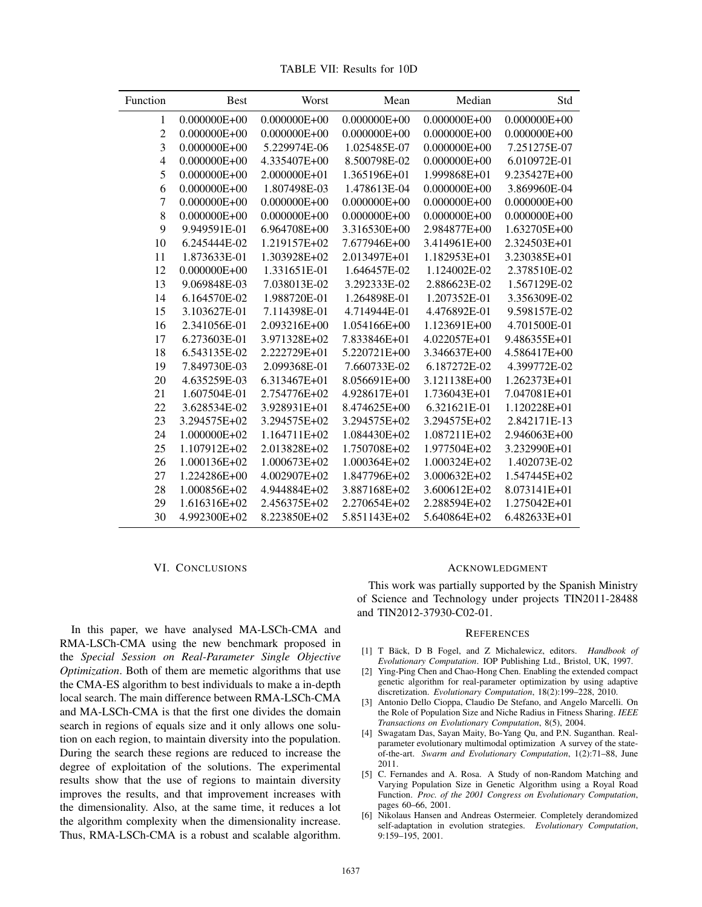TABLE VII: Results for 10D

| Function       | <b>Best</b>      | Worst            | Mean             | Median           | Std              |
|----------------|------------------|------------------|------------------|------------------|------------------|
| 1              | $0.000000E + 00$ | $0.000000E + 00$ | $0.000000E + 00$ | $0.000000E + 00$ | $0.000000E + 00$ |
| $\overline{2}$ | $0.000000E + 00$ | $0.000000E + 00$ | $0.000000E + 00$ | $0.000000E + 00$ | $0.000000E + 00$ |
| 3              | $0.000000E + 00$ | 5.229974E-06     | 1.025485E-07     | $0.000000E + 00$ | 7.251275E-07     |
| 4              | $0.000000E + 00$ | 4.335407E+00     | 8.500798E-02     | $0.000000E + 00$ | 6.010972E-01     |
| 5              | $0.000000E + 00$ | 2.000000E+01     | 1.365196E+01     | 1.999868E+01     | 9.235427E+00     |
| 6              | $0.000000E + 00$ | 1.807498E-03     | 1.478613E-04     | $0.000000E + 00$ | 3.869960E-04     |
| 7              | $0.000000E + 00$ | $0.000000E + 00$ | $0.000000E + 00$ | $0.000000E + 00$ | $0.000000E + 00$ |
| 8              | $0.000000E + 00$ | $0.000000E + 00$ | $0.000000E + 00$ | $0.000000E + 00$ | $0.000000E + 00$ |
| 9              | 9.949591E-01     | 6.964708E+00     | 3.316530E+00     | 2.984877E+00     | 1.632705E+00     |
| 10             | 6.245444E-02     | 1.219157E+02     | 7.677946E+00     | 3.414961E+00     | 2.324503E+01     |
| 11             | 1.873633E-01     | 1.303928E+02     | 2.013497E+01     | 1.182953E+01     | 3.230385E+01     |
| 12             | $0.000000E + 00$ | 1.331651E-01     | 1.646457E-02     | 1.124002E-02     | 2.378510E-02     |
| 13             | 9.069848E-03     | 7.038013E-02     | 3.292333E-02     | 2.886623E-02     | 1.567129E-02     |
| 14             | 6.164570E-02     | 1.988720E-01     | 1.264898E-01     | 1.207352E-01     | 3.356309E-02     |
| 15             | 3.103627E-01     | 7.114398E-01     | 4.714944E-01     | 4.476892E-01     | 9.598157E-02     |
| 16             | 2.341056E-01     | 2.093216E+00     | 1.054166E+00     | 1.123691E+00     | 4.701500E-01     |
| 17             | 6.273603E-01     | 3.971328E+02     | 7.833846E+01     | 4.022057E+01     | 9.486355E+01     |
| 18             | 6.543135E-02     | 2.222729E+01     | 5.220721E+00     | 3.346637E+00     | 4.586417E+00     |
| 19             | 7.849730E-03     | 2.099368E-01     | 7.660733E-02     | 6.187272E-02     | 4.399772E-02     |
| 20             | 4.635259E-03     | 6.313467E+01     | 8.056691E+00     | 3.121138E+00     | 1.262373E+01     |
| 21             | 1.607504E-01     | 2.754776E+02     | 4.928617E+01     | 1.736043E+01     | 7.047081E+01     |
| 22             | 3.628534E-02     | 3.928931E+01     | 8.474625E+00     | 6.321621E-01     | 1.120228E+01     |
| 23             | 3.294575E+02     | 3.294575E+02     | 3.294575E+02     | 3.294575E+02     | 2.842171E-13     |
| 24             | 1.000000E+02     | 1.164711E+02     | 1.084430E+02     | 1.087211E+02     | 2.946063E+00     |
| 25             | 1.107912E+02     | 2.013828E+02     | 1.750708E+02     | 1.977504E+02     | 3.232990E+01     |
| 26             | 1.000136E+02     | 1.000673E+02     | 1.000364E+02     | 1.000324E+02     | 1.402073E-02     |
| 27             | 1.224286E+00     | 4.002907E+02     | 1.847796E+02     | 3.000632E+02     | 1.547445E+02     |
| 28             | 1.000856E+02     | 4.944884E+02     | 3.887168E+02     | 3.600612E+02     | 8.073141E+01     |
| 29             | 1.616316E+02     | 2.456375E+02     | 2.270654E+02     | 2.288594E+02     | 1.275042E+01     |
| 30             | 4.992300E+02     | 8.223850E+02     | 5.851143E+02     | 5.640864E+02     | 6.482633E+01     |

## VI. CONCLUSIONS

In this paper, we have analysed MA-LSCh-CMA and RMA-LSCh-CMA using the new benchmark proposed in the *Special Session on Real-Parameter Single Objective Optimization*. Both of them are memetic algorithms that use the CMA-ES algorithm to best individuals to make a in-depth local search. The main difference between RMA-LSCh-CMA and MA-LSCh-CMA is that the first one divides the domain search in regions of equals size and it only allows one solution on each region, to maintain diversity into the population. During the search these regions are reduced to increase the degree of exploitation of the solutions. The experimental results show that the use of regions to maintain diversity improves the results, and that improvement increases with the dimensionality. Also, at the same time, it reduces a lot the algorithm complexity when the dimensionality increase. Thus, RMA-LSCh-CMA is a robust and scalable algorithm.

# ACKNOWLEDGMENT

This work was partially supported by the Spanish Ministry of Science and Technology under projects TIN2011-28488 and TIN2012-37930-C02-01.

#### **REFERENCES**

- [1] T Bäck, D B Fogel, and Z Michalewicz, editors. *Handbook of Evolutionary Computation*. IOP Publishing Ltd., Bristol, UK, 1997.
- [2] Ying-Ping Chen and Chao-Hong Chen. Enabling the extended compact genetic algorithm for real-parameter optimization by using adaptive discretization. *Evolutionary Computation*, 18(2):199–228, 2010.
- [3] Antonio Dello Cioppa, Claudio De Stefano, and Angelo Marcelli. On the Role of Population Size and Niche Radius in Fitness Sharing. *IEEE Transactions on Evolutionary Computation*, 8(5), 2004.
- [4] Swagatam Das, Sayan Maity, Bo-Yang Qu, and P.N. Suganthan. Realparameter evolutionary multimodal optimization A survey of the stateof-the-art. *Swarm and Evolutionary Computation*, 1(2):71–88, June 2011.
- [5] C. Fernandes and A. Rosa. A Study of non-Random Matching and Varying Population Size in Genetic Algorithm using a Royal Road Function. *Proc. of the 2001 Congress on Evolutionary Computation*, pages 60–66, 2001.
- [6] Nikolaus Hansen and Andreas Ostermeier. Completely derandomized self-adaptation in evolution strategies. *Evolutionary Computation*, 9:159–195, 2001.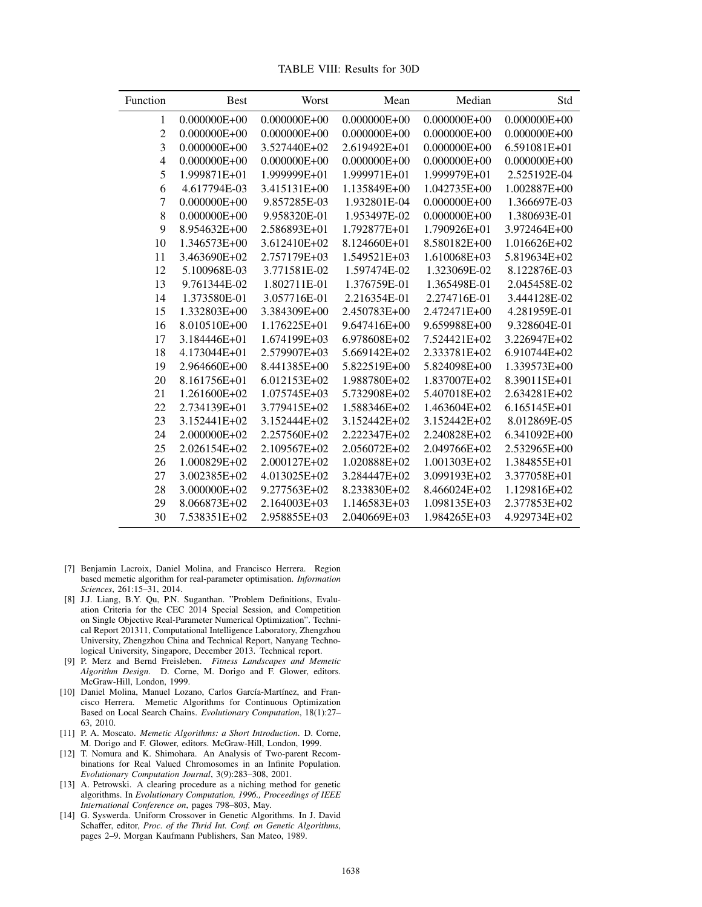TABLE VIII: Results for 30D

| Function       | <b>Best</b>      | Worst            | Mean             | Median           | Std              |
|----------------|------------------|------------------|------------------|------------------|------------------|
| 1              | $0.000000E + 00$ | $0.000000E + 00$ | $0.000000E + 00$ | $0.000000E + 00$ | $0.000000E + 00$ |
| $\mathfrak{2}$ | $0.000000E + 00$ | $0.000000E + 00$ | $0.000000E + 00$ | $0.000000E + 00$ | $0.000000E + 00$ |
| 3              | $0.000000E + 00$ | 3.527440E+02     | 2.619492E+01     | $0.000000E + 00$ | 6.591081E+01     |
| $\overline{4}$ | $0.000000E + 00$ | $0.000000E + 00$ | $0.000000E + 00$ | $0.000000E + 00$ | $0.000000E + 00$ |
| 5              | 1.999871E+01     | 1.999999E+01     | 1.999971E+01     | 1.999979E+01     | 2.525192E-04     |
| 6              | 4.617794E-03     | 3.415131E+00     | 1.135849E+00     | 1.042735E+00     | 1.002887E+00     |
| 7              | $0.000000E + 00$ | 9.857285E-03     | 1.932801E-04     | $0.000000E + 00$ | 1.366697E-03     |
| $\,8$          | $0.000000E+00$   | 9.958320E-01     | 1.953497E-02     | $0.000000E + 00$ | 1.380693E-01     |
| 9              | 8.954632E+00     | 2.586893E+01     | 1.792877E+01     | 1.790926E+01     | 3.972464E+00     |
| 10             | 1.346573E+00     | 3.612410E+02     | 8.124660E+01     | 8.580182E+00     | $1.016626E + 02$ |
| 11             | 3.463690E+02     | 2.757179E+03     | 1.549521E+03     | 1.610068E+03     | 5.819634E+02     |
| 12             | 5.100968E-03     | 3.771581E-02     | 1.597474E-02     | 1.323069E-02     | 8.122876E-03     |
| 13             | 9.761344E-02     | 1.802711E-01     | 1.376759E-01     | 1.365498E-01     | 2.045458E-02     |
| 14             | 1.373580E-01     | 3.057716E-01     | 2.216354E-01     | 2.274716E-01     | 3.444128E-02     |
| 15             | 1.332803E+00     | 3.384309E+00     | 2.450783E+00     | 2.472471E+00     | 4.281959E-01     |
| 16             | 8.010510E+00     | 1.176225E+01     | 9.647416E+00     | 9.659988E+00     | 9.328604E-01     |
| 17             | 3.184446E+01     | 1.674199E+03     | 6.978608E+02     | 7.524421E+02     | 3.226947E+02     |
| 18             | 4.173044E+01     | 2.579907E+03     | 5.669142E+02     | 2.333781E+02     | 6.910744E+02     |
| 19             | 2.964660E+00     | 8.441385E+00     | 5.822519E+00     | 5.824098E+00     | 1.339573E+00     |
| 20             | 8.161756E+01     | 6.012153E+02     | 1.988780E+02     | 1.837007E+02     | 8.390115E+01     |
| 21             | 1.261600E+02     | 1.075745E+03     | 5.732908E+02     | 5.407018E+02     | 2.634281E+02     |
| 22             | 2.734139E+01     | 3.779415E+02     | 1.588346E+02     | 1.463604E+02     | 6.165145E+01     |
| 23             | 3.152441E+02     | 3.152444E+02     | 3.152442E+02     | 3.152442E+02     | 8.012869E-05     |
| 24             | 2.000000E+02     | 2.257560E+02     | 2.222347E+02     | 2.240828E+02     | 6.341092E+00     |
| 25             | 2.026154E+02     | 2.109567E+02     | 2.056072E+02     | 2.049766E+02     | 2.532965E+00     |
| 26             | 1.000829E+02     | 2.000127E+02     | 1.020888E+02     | 1.001303E+02     | 1.384855E+01     |
| 27             | 3.002385E+02     | 4.013025E+02     | 3.284447E+02     | 3.099193E+02     | 3.377058E+01     |
| 28             | 3.000000E+02     | 9.277563E+02     | 8.233830E+02     | 8.466024E+02     | 1.129816E+02     |
| 29             | 8.066873E+02     | 2.164003E+03     | 1.146583E+03     | 1.098135E+03     | 2.377853E+02     |
| 30             | 7.538351E+02     | 2.958855E+03     | 2.040669E+03     | 1.984265E+03     | 4.929734E+02     |

- [7] Benjamin Lacroix, Daniel Molina, and Francisco Herrera. Region based memetic algorithm for real-parameter optimisation. *Information Sciences*, 261:15–31, 2014.
- [8] J.J. Liang, B.Y. Qu, P.N. Suganthan. "Problem Definitions, Evaluation Criteria for the CEC 2014 Special Session, and Competition on Single Objective Real-Parameter Numerical Optimization". Technical Report 201311, Computational Intelligence Laboratory, Zhengzhou University, Zhengzhou China and Technical Report, Nanyang Technological University, Singapore, December 2013. Technical report.
- [9] P. Merz and Bernd Freisleben. *Fitness Landscapes and Memetic Algorithm Design*. D. Corne, M. Dorigo and F. Glower, editors. McGraw-Hill, London, 1999.
- [10] Daniel Molina, Manuel Lozano, Carlos García-Martínez, and Francisco Herrera. Memetic Algorithms for Continuous Optimization Based on Local Search Chains. *Evolutionary Computation*, 18(1):27– 63, 2010.
- [11] P. A. Moscato. *Memetic Algorithms: a Short Introduction*. D. Corne, M. Dorigo and F. Glower, editors. McGraw-Hill, London, 1999.
- [12] T. Nomura and K. Shimohara. An Analysis of Two-parent Recombinations for Real Valued Chromosomes in an Infinite Population. *Evolutionary Computation Journal*, 3(9):283–308, 2001.
- [13] A. Petrowski. A clearing procedure as a niching method for genetic algorithms. In *Evolutionary Computation, 1996., Proceedings of IEEE International Conference on*, pages 798–803, May.
- [14] G. Syswerda. Uniform Crossover in Genetic Algorithms. In J. David Schaffer, editor, *Proc. of the Thrid Int. Conf. on Genetic Algorithms*, pages 2–9. Morgan Kaufmann Publishers, San Mateo, 1989.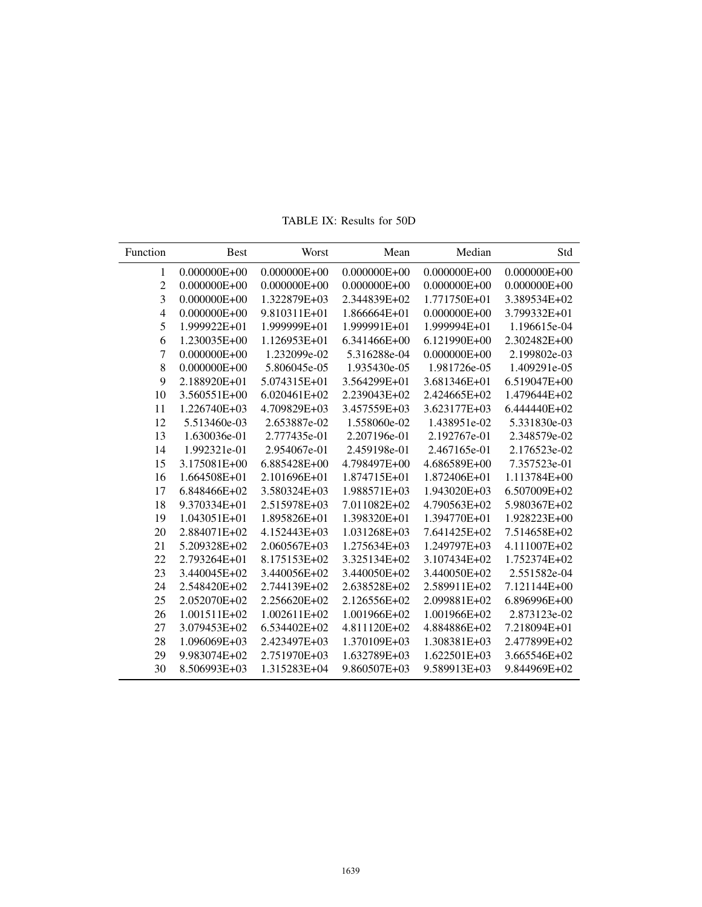| Function                 | <b>Best</b>      | Worst            | Mean             | Median           | Std              |
|--------------------------|------------------|------------------|------------------|------------------|------------------|
| 1                        | $0.000000E + 00$ | $0.000000E + 00$ | $0.000000E + 00$ | $0.000000E + 00$ | $0.000000E + 00$ |
| $\overline{c}$           | $0.000000E + 00$ | $0.000000E + 00$ | $0.000000E + 00$ | $0.000000E + 00$ | $0.000000E + 00$ |
| 3                        | $0.000000E + 00$ | 1.322879E+03     | 2.344839E+02     | 1.771750E+01     | 3.389534E+02     |
| $\overline{\mathcal{L}}$ | $0.000000E + 00$ | 9.810311E+01     | 1.866664E+01     | $0.000000E + 00$ | 3.799332E+01     |
| 5                        | 1.999922E+01     | 1.999999E+01     | 1.999991E+01     | 1.999994E+01     | 1.196615e-04     |
| 6                        | 1.230035E+00     | 1.126953E+01     | 6.341466E+00     | 6.121990E+00     | 2.302482E+00     |
| $\overline{7}$           | $0.000000E + 00$ | 1.232099e-02     | 5.316288e-04     | $0.000000E + 00$ | 2.199802e-03     |
| 8                        | $0.000000E + 00$ | 5.806045e-05     | 1.935430e-05     | 1.981726e-05     | 1.409291e-05     |
| 9                        | 2.188920E+01     | 5.074315E+01     | 3.564299E+01     | 3.681346E+01     | 6.519047E+00     |
| 10                       | 3.560551E+00     | 6.020461E+02     | 2.239043E+02     | 2.424665E+02     | 1.479644E+02     |
| 11                       | 1.226740E+03     | 4.709829E+03     | 3.457559E+03     | 3.623177E+03     | 6.444440E+02     |
| 12                       | 5.513460e-03     | 2.653887e-02     | 1.558060e-02     | 1.438951e-02     | 5.331830e-03     |
| 13                       | 1.630036e-01     | 2.777435e-01     | 2.207196e-01     | 2.192767e-01     | 2.348579e-02     |
| 14                       | 1.992321e-01     | 2.954067e-01     | 2.459198e-01     | 2.467165e-01     | 2.176523e-02     |
| 15                       | 3.175081E+00     | 6.885428E+00     | 4.798497E+00     | 4.686589E+00     | 7.357523e-01     |
| 16                       | 1.664508E+01     | 2.101696E+01     | 1.874715E+01     | 1.872406E+01     | 1.113784E+00     |
| 17                       | 6.848466E+02     | 3.580324E+03     | 1.988571E+03     | 1.943020E+03     | 6.507009E+02     |
| 18                       | 9.370334E+01     | 2.515978E+03     | 7.011082E+02     | 4.790563E+02     | 5.980367E+02     |
| 19                       | 1.043051E+01     | 1.895826E+01     | 1.398320E+01     | 1.394770E+01     | 1.928223E+00     |
| 20                       | 2.884071E+02     | 4.152443E+03     | 1.031268E+03     | 7.641425E+02     | 7.514658E+02     |
| 21                       | 5.209328E+02     | 2.060567E+03     | 1.275634E+03     | 1.249797E+03     | 4.111007E+02     |
| 22                       | 2.793264E+01     | 8.175153E+02     | 3.325134E+02     | 3.107434E+02     | 1.752374E+02     |
| 23                       | 3.440045E+02     | 3.440056E+02     | 3.440050E+02     | 3.440050E+02     | 2.551582e-04     |
| 24                       | 2.548420E+02     | 2.744139E+02     | 2.638528E+02     | 2.589911E+02     | 7.121144E+00     |
| 25                       | 2.052070E+02     | 2.256620E+02     | 2.126556E+02     | 2.099881E+02     | 6.896996E+00     |
| 26                       | 1.001511E+02     | 1.002611E+02     | 1.001966E+02     | 1.001966E+02     | 2.873123e-02     |
| 27                       | 3.079453E+02     | 6.534402E+02     | 4.811120E+02     | 4.884886E+02     | 7.218094E+01     |
| 28                       | 1.096069E+03     | 2.423497E+03     | 1.370109E+03     | 1.308381E+03     | 2.477899E+02     |
| 29                       | 9.983074E+02     | 2.751970E+03     | 1.632789E+03     | 1.622501E+03     | 3.665546E+02     |
| 30                       | 8.506993E+03     | 1.315283E+04     | 9.860507E+03     | 9.589913E+03     | 9.844969E+02     |

TABLE IX: Results for 50D